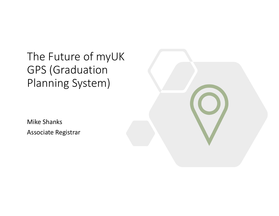The Future of myUK GPS (Graduation Planning System)

Mike Shanks Associate Registrar

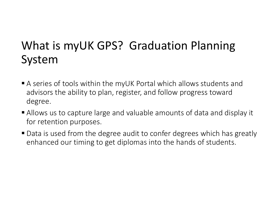# What is myUK GPS? Graduation Planning System

- A series of tools within the myUK Portal which allows students and advisors the ability to plan, register, and follow progress toward degree.
- Allows us to capture large and valuable amounts of data and display it for retention purposes.
- Data is used from the degree audit to confer degrees which has greatly enhanced our timing to get diplomas into the hands of students.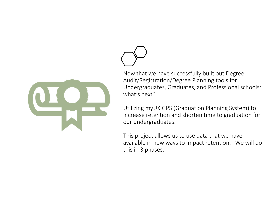



Utilizing myUK GPS (Graduation Planning System) to increase retention and shorten time to graduation for our undergraduates.

This project allows us to use data that we have available in new ways to impact retention. We will do this in 3 phases.

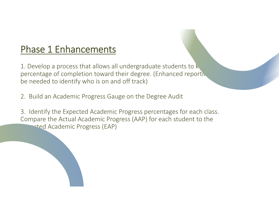# Phase 1 Enhancements

1. Develop a process that allows all undergraduate students to  ${\sf k}_\text{c}$  , which percentage of completion toward their degree. (Enhanced reporting be needed to identify who is on and off track)

- 2. Build an Academic Progress Gauge on the Degree Audit
- 3. Identify the Expected Academic Progress percentages for each class. Compare the Actual Academic Progress (AAP) for each student to the **Expected Academic Progress (EAP)**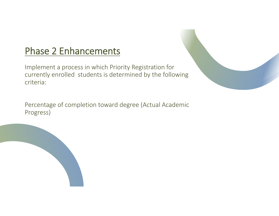## Phase 2 Enhancements

Implement <sup>a</sup> process in which Priority Registration for currently enrolled students is determined by the following criteria:

Percentage of completion toward degree (Actual Academic Progress)

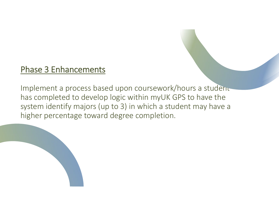### Phase 3 Enhancements

Implement a process based upon coursework/hours a student has completed to develop logic within myUK GPS to have the system identify majors (up to 3) in which <sup>a</sup> student may have <sup>a</sup> higher percentage toward degree completion.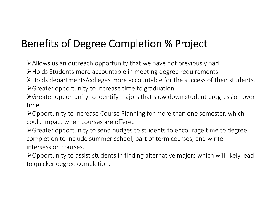# Benefits of Degree Completion % Project

Allows us an outreach opportunity that we have not previously had.

Holds Students more accountable in meeting degree requirements.

Holds departments/colleges more accountable for the success of their students. Greater opportunity to increase time to graduation.

Greater opportunity to identify majors that slow down student progression over time.

**≻Opportunity to increase Course Planning for more than one semester, which** could impact when courses are offered.

Greater opportunity to send nudges to students to encourage time to degree completion to include summer school, part of term courses, and winter intersession courses.

Opportunity to assist students in finding alternative majors which will likely lead to quicker degree completion.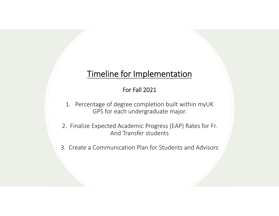#### Timeline for Implementation

#### For Fall 2021

- 1. Percentage of degree completion built within myUK GPS for each undergraduate major.
- 2. Finalize Expected Academic Progress (EAP) Rates for Fr. And Transfer students
- 3. Create a Communication Plan for Students and Advisors